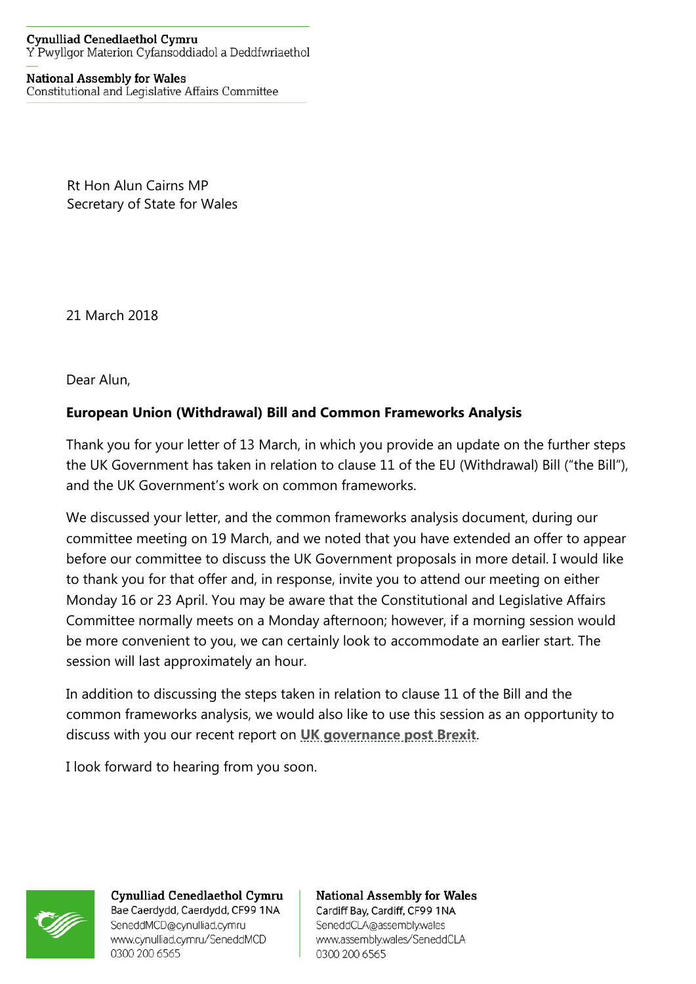## **Cynulliad Cenedlaethol Cymru** Y Pwyllgor Materion Cyfansoddiadol a Deddfwriaethol

## **National Assembly for Wales** Constitutional and Legislative Affairs Committee

Rt Hon Alun Cairns MP Secretary of State for Wales

21 March 2018

Dear Alun,

## **European Union (Withdrawal) Bill and Common Frameworks Analysis**

Thank you for your letter of 13 March, in which you provide an update on the further steps the UK Government has taken in relation to clause 11 of the EU (Withdrawal) Bill ("the Bill"), and the UK Government's work on common frameworks.

We discussed your letter, and the common frameworks analysis document, during our committee meeting on 19 March, and we noted that you have extended an offer to appear before our committee to discuss the UK Government proposals in more detail. I would like to thank you for that offer and, in response, invite you to attend our meeting on either Monday 16 or 23 April. You may be aware that the Constitutional and Legislative Affairs Committee normally meets on a Monday afternoon; however, if a morning session would be more convenient to you, we can certainly look to accommodate an earlier start. The session will last approximately an hour.

In addition to discussing the steps taken in relation to clause 11 of the Bill and the common frameworks analysis, we would also like to use this session as an opportunity to discuss with you our recent report on **[UK governance post Brexit](http://www.assembly.wales/laid%20documents/cr-ld11405/cr-ld11405-e.pdf)**.

I look forward to hearing from you soon.



Cynulliad Cenedlaethol Cymru Bae Caerdydd, Caerdydd, CF99 1NA SeneddMCD@cynulliad.cymru www.cynulliad.cymru/SeneddMCD 0300 200 6565

**National Assembly for Wales** Cardiff Bay, Cardiff, CF99 1NA SeneddCLA@assembly.wales www.assembly.wales/SeneddCLA 0300 200 6565